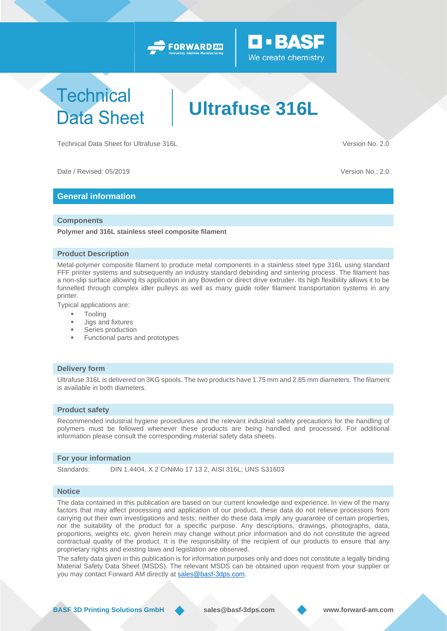



## **Technical Data Sheet**

# **Ultrafuse 316L**

Technical Data Sheet for Ultrafuse 316L Version No. 2.0

Date / Revised: 05/2019 Version No.: 2.0

### **General information**

#### **Components**

**Polymer and 316L stainless steel composite filament**

#### **Product Description**

Metal-polymer composite filament to produce metal components in a stainless steel type 316L using standard FFF printer systems and subsequently an industry standard debinding and sintering process. The filament has a non-slip surface allowing its application in any Bowden or direct drive extruder. Its high flexibility allows it to be funnelled through complex idler pulleys as well as many guide roller filament transportation systems in any printer.

Typical applications are:

- Tooling
- Jigs and fixtures
- Series production
- Functional parts and prototypes

#### **Delivery form**

Ultrafuse 316L is delivered on 3KG spools. The two products have 1.75 mm and 2.85 mm diameters. The filament is available in both diameters.

#### **Product safety**

Recommended industrial hygiene procedures and the relevant industrial safety precautions for the handling of polymers must be followed whenever these products are being handled and processed. For additional information please consult the corresponding material safety data sheets.

#### **For your information**

Standards: DIN 1.4404, X 2 CrNiMo 17 13 2, AISI 316L; UNS S31603

#### **Notice**

The data contained in this publication are based on our current knowledge and experience. In view of the many factors that may affect processing and application of our product, these data do not relieve processors from carrying out their own investigations and tests; neither do these data imply any guarantee of certain properties, nor the suitability of the product for a specific purpose. Any descriptions, drawings, photographs, data, proportions, weights etc. given herein may change without prior information and do not constitute the agreed contractual quality of the product. It is the responsibility of the recipient of our products to ensure that any proprietary rights and existing laws and legislation are observed.

The safety data given in this publication is for information purposes only and does not constitute a legally binding Material Safety Data Sheet (MSDS). The relevant MSDS can be obtained upon request from your supplier or you may contact Forward AM directly at [sales@basf-3dps.com.](mailto:sales@basf-3dps.com)